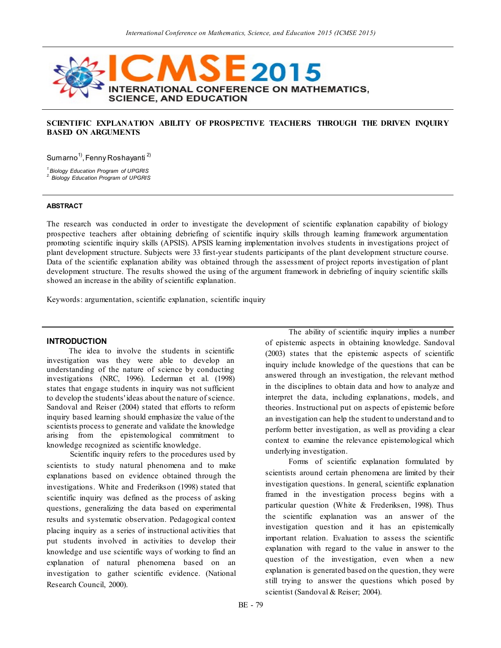

### **SCIENTIFIC EXPLANATION ABILITY OF PROSPECTIVE TEACHERS THROUGH THE DRIVEN INQUIRY BASED ON ARGUMENTS**

Sumarno<sup>1)</sup>, Fenny Roshayanti <sup>2)</sup>

*1.Biology Education Program of UPGRIS 2. Biology Education Program of UPGRIS*

**ABSTRACT**

The research was conducted in order to investigate the development of scientific explanation capability of biology prospective teachers after obtaining debriefing of scientific inquiry skills through learning framework argumentation promoting scientific inquiry skills (APSIS). APSIS learning implementation involves students in investigations project of plant development structure. Subjects were 33 first-year students participants of the plant development structure course. Data of the scientific explanation ability was obtained through the assessment of project reports investigation of plant development structure. The results showed the using of the argument framework in debriefing of inquiry scientific skills showed an increase in the ability of scientific explanation.

Keywords: argumentation, scientific explanation, scientific inquiry

#### **INTRODUCTION**

The idea to involve the students in scientific investigation was they were able to develop an understanding of the nature of science by conducting investigations (NRC, 1996). Lederman et al. (1998) states that engage students in inquiry was not sufficient to develop the students' ideas about the nature of science. Sandoval and Reiser (2004) stated that efforts to reform inquiry based learning should emphasize the value of the scientists process to generate and validate the knowledge arising from the epistemological commitment to knowledge recognized as scientific knowledge.

Scientific inquiry refers to the procedures used by scientists to study natural phenomena and to make explanations based on evidence obtained through the investigations. White and Frederikson (1998) stated that scientific inquiry was defined as the process of asking questions, generalizing the data based on experimental results and systematic observation. Pedagogical context placing inquiry as a series of instructional activities that put students involved in activities to develop their knowledge and use scientific ways of working to find an explanation of natural phenomena based on an investigation to gather scientific evidence. (National Research Council, 2000).

The ability of scientific inquiry implies a number of epistemic aspects in obtaining knowledge. Sandoval (2003) states that the epistemic aspects of scientific inquiry include knowledge of the questions that can be answered through an investigation, the relevant method in the disciplines to obtain data and how to analyze and interpret the data, including explanations, models, and theories. Instructional put on aspects of epistemic before an investigation can help the student to understand and to perform better investigation, as well as providing a clear context to examine the relevance epistemological which underlying investigation.

Forms of scientific explanation formulated by scientists around certain phenomena are limited by their investigation questions. In general, scientific explanation framed in the investigation process begins with a particular question (White & Frederiksen, 1998). Thus the scientific explanation was an answer of the investigation question and it has an epistemically important relation. Evaluation to assess the scientific explanation with regard to the value in answer to the question of the investigation, even when a new explanation is generated based on the question, they were still trying to answer the questions which posed by scientist (Sandoval & Reiser; 2004).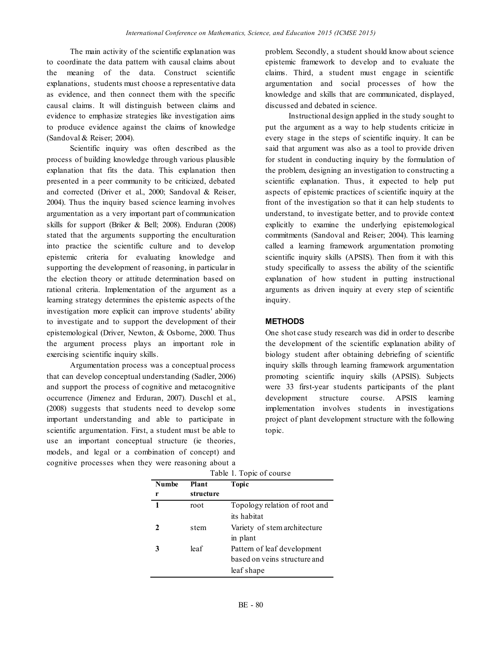The main activity of the scientific explanation was to coordinate the data pattern with causal claims about the meaning of the data. Construct scientific explanations, students must choose a representative data as evidence, and then connect them with the specific causal claims. It will distinguish between claims and evidence to emphasize strategies like investigation aims to produce evidence against the claims of knowledge (Sandoval & Reiser; 2004).

Scientific inquiry was often described as the process of building knowledge through various plausible explanation that fits the data. This explanation then presented in a peer community to be criticized, debated and corrected (Driver et al., 2000; Sandoval & Reiser, 2004). Thus the inquiry based science learning involves argumentation as a very important part of communication skills for support (Briker & Bell; 2008). Enduran (2008) stated that the arguments supporting the enculturation into practice the scientific culture and to develop epistemic criteria for evaluating knowledge and supporting the development of reasoning, in particular in the election theory or attitude determination based on rational criteria. Implementation of the argument as a learning strategy determines the epistemic aspects of the investigation more explicit can improve students' ability to investigate and to support the development of their epistemological (Driver, Newton, & Osborne, 2000. Thus the argument process plays an important role in exercising scientific inquiry skills.

Argumentation process was a conceptual process that can develop conceptual understanding (Sadler, 2006) and support the process of cognitive and metacognitive occurrence (Jimenez and Erduran, 2007). Duschl et al., (2008) suggests that students need to develop some important understanding and able to participate in scientific argumentation. First, a student must be able to use an important conceptual structure (ie theories, models, and legal or a combination of concept) and cognitive processes when they were reasoning about a problem. Secondly, a student should know about science epistemic framework to develop and to evaluate the claims. Third, a student must engage in scientific argumentation and social processes of how the knowledge and skills that are communicated, displayed, discussed and debated in science.

Instructional design applied in the study sought to put the argument as a way to help students criticize in every stage in the steps of scientific inquiry. It can be said that argument was also as a tool to provide driven for student in conducting inquiry by the formulation of the problem, designing an investigation to constructing a scientific explanation. Thus, it expected to help put aspects of epistemic practices of scientific inquiry at the front of the investigation so that it can help students to understand, to investigate better, and to provide context explicitly to examine the underlying epistemological commitments (Sandoval and Reiser; 2004). This learning called a learning framework argumentation promoting scientific inquiry skills (APSIS). Then from it with this study specifically to assess the ability of the scientific explanation of how student in putting instructional arguments as driven inquiry at every step of scientific inquiry.

# **METHODS**

One shot case study research was did in order to describe the development of the scientific explanation ability of biology student after obtaining debriefing of scientific inquiry skills through learning framework argumentation promoting scientific inquiry skills (APSIS). Subjects were 33 first-year students participants of the plant development structure course. APSIS learning implementation involves students in investigations project of plant development structure with the following topic.

| Table 1. Topic of course |           |                               |  |  |
|--------------------------|-----------|-------------------------------|--|--|
| <b>Numbe</b>             | Plant     | Topic                         |  |  |
| r                        | structure |                               |  |  |
| 1                        | root      | Topology relation of root and |  |  |
|                          |           | its habitat                   |  |  |
| 2                        | stem      | Variety of stem architecture  |  |  |
|                          |           | in plant                      |  |  |
|                          | leaf      | Pattern of leaf development   |  |  |
|                          |           | based on veins structure and  |  |  |
|                          |           | leaf shape                    |  |  |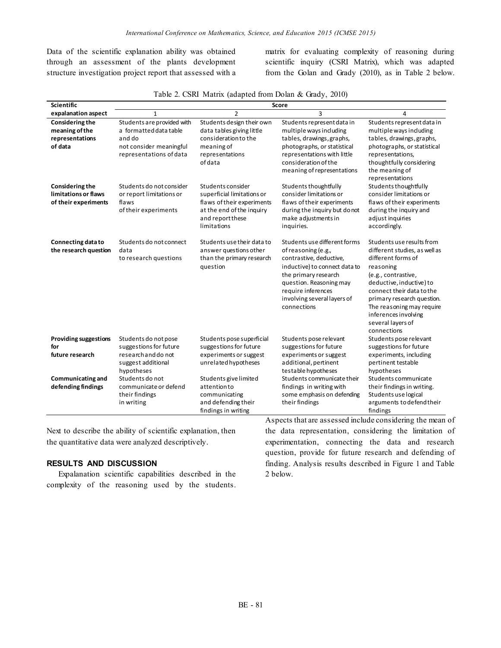Data of the scientific explanation ability was obtained through an assessment of the plants development structure investigation project report that assessed with a matrix for evaluating complexity of reasoning during scientific inquiry (CSRI Matrix), which was adapted from the Golan and Grady (2010), as in Table 2 below.

| Table 2. CSRI Matrix (adapted from Dolan & Grady, 2010) |  |  |  |  |  |
|---------------------------------------------------------|--|--|--|--|--|
|---------------------------------------------------------|--|--|--|--|--|

| Scientific                                                             |                                                                                                                      | Score                                                                                                                                         |                                                                                                                                                                                                                                        |                                                                                                                                                                                                                                                                                                      |  |  |
|------------------------------------------------------------------------|----------------------------------------------------------------------------------------------------------------------|-----------------------------------------------------------------------------------------------------------------------------------------------|----------------------------------------------------------------------------------------------------------------------------------------------------------------------------------------------------------------------------------------|------------------------------------------------------------------------------------------------------------------------------------------------------------------------------------------------------------------------------------------------------------------------------------------------------|--|--|
| expalanation aspect                                                    | $\mathbf{1}$                                                                                                         | $\overline{2}$                                                                                                                                | 3                                                                                                                                                                                                                                      | $\overline{4}$                                                                                                                                                                                                                                                                                       |  |  |
| Considering the<br>meaning of the<br>representations<br>of data        | Students are provided with<br>a formatted data table<br>and do<br>not consider meaningful<br>representations of data | Students design their own<br>data tables giving little<br>consideration to the<br>meaning of<br>representations<br>of data                    | Students represent data in<br>multiple ways including<br>tables, drawings, graphs,<br>photographs, or statistical<br>representations with little<br>consideration of the<br>meaning of representations                                 | Students represent data in<br>multiple ways including<br>tables, drawings, graphs,<br>photographs, or statistical<br>representations,<br>thoughtfully considering<br>the meaning of<br>representations                                                                                               |  |  |
| <b>Considering the</b><br>limitations or flaws<br>of their experiments | Students do not consider<br>or report limitations or<br>flaws<br>of their experiments                                | Students consider<br>superficial limitations or<br>flaws of their experiments<br>at the end of the inquiry<br>and report these<br>limitations | Students thoughtfully<br>consider limitations or<br>flaws of their experiments<br>during the inquiry but do not<br>make adjustments in<br>inquiries.                                                                                   | Students thoughtfully<br>consider limitations or<br>flaws of their experiments<br>during the inquiry and<br>adjust inquiries<br>accordingly.                                                                                                                                                         |  |  |
| Connecting data to<br>the research question                            | Students do not connect<br>data<br>to research questions                                                             | Students use their data to<br>answer questions other<br>than the primary research<br>question                                                 | Students use different forms<br>of reasoning (e.g.,<br>contrastive, deductive,<br>inductive) to connect data to<br>the primary research<br>question. Reasoning may<br>require inferences<br>involving several layers of<br>connections | Students use results from<br>different studies, as well as<br>different forms of<br>reasoning<br>(e.g., contrastive,<br>deductive, inductive) to<br>connect their data to the<br>primary research question.<br>The reasoning may require<br>inferences involving<br>several layers of<br>connections |  |  |
| <b>Providing suggestions</b><br>for<br>future research                 | Students do not pose<br>suggestions for future<br>research and do not<br>suggest additional<br>hypotheses            | Students pose superficial<br>suggestions for future<br>experiments or suggest<br>unrelated hypotheses                                         | Students pose relevant<br>suggestions for future<br>experiments or suggest<br>additional, pertinent<br>testable hypotheses                                                                                                             | Students pose relevant<br>suggestions for future<br>experiments, including<br>pertinent testable<br>hypotheses                                                                                                                                                                                       |  |  |
| Communicating and<br>defending findings                                | Students do not<br>communicate or defend<br>their findings<br>in writing                                             | Students give limited<br>attentionto<br>communicating<br>and defending their<br>findings in writing                                           | Students communicate their<br>findings in writing with<br>some emphasis on defending<br>their findings                                                                                                                                 | Students communicate<br>their findings in writing.<br>Students use logical<br>arguments to defend their<br>findings                                                                                                                                                                                  |  |  |

Next to describe the ability of scientific explanation, then the quantitative data were analyzed descriptively.

# **RESULTS AND DISCUSSION**

Expalanation scientific capabilities described in the complexity of the reasoning used by the students.

Aspects that are assessed include considering the mean of the data representation, considering the limitation of experimentation, connecting the data and research question, provide for future research and defending of finding. Analysis results described in Figure 1 and Table 2 below.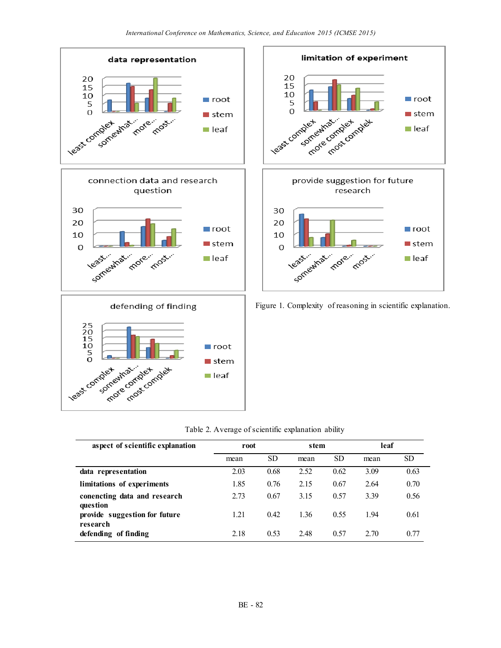



Figure 1. Complexity of reasoning in scientific explanation.

| aspect of scientific explanation          | root |           | stem |           | leaf |           |
|-------------------------------------------|------|-----------|------|-----------|------|-----------|
|                                           | mean | <b>SD</b> | mean | <b>SD</b> | mean | <b>SD</b> |
| data representation                       | 2.03 | 0.68      | 2.52 | 0.62      | 3.09 | 0.63      |
| limitations of experiments                | 1.85 | 0.76      | 2.15 | 0.67      | 2.64 | 0.70      |
| conencting data and research<br>question  | 2.73 | 0.67      | 3.15 | 0.57      | 3.39 | 0.56      |
| provide suggestion for future<br>research | 1.21 | 0.42      | 1.36 | 0.55      | 194  | 0.61      |
| defending of finding                      | 2.18 | 0.53      | 2.48 | 0.57      | 2.70 | 0.77      |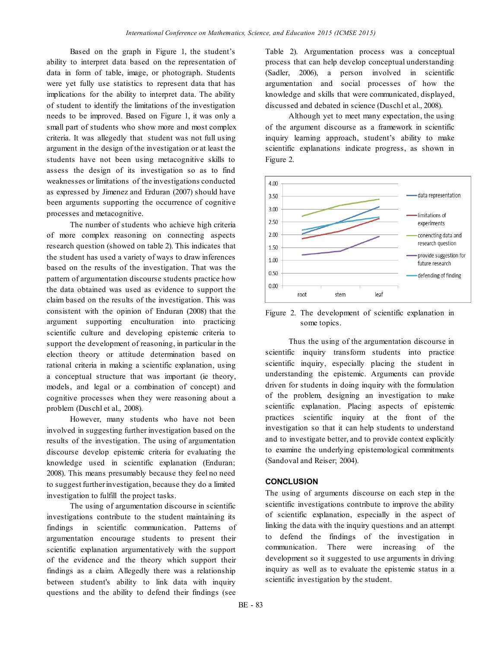Based on the graph in Figure 1, the student's ability to interpret data based on the representation of data in form of table, image, or photograph. Students were yet fully use statistics to represent data that has implications for the ability to interpret data. The ability of student to identify the limitations of the investigation needs to be improved. Based on Figure 1, it was only a small part of students who show more and most complex criteria. It was allegedly that student was not full using argument in the design of the investigation or at least the students have not been using metacognitive skills to assess the design of its investigation so as to find weaknesses or limitations of the investigations conducted as expressed by Jimenez and Erduran (2007) should have been arguments supporting the occurrence of cognitive processes and metacognitive.

The number of students who achieve high criteria of more complex reasoning on connecting aspects research question (showed on table 2). This indicates that the student has used a variety of ways to draw inferences based on the results of the investigation. That was the pattern of argumentation discourse students practice how the data obtained was used as evidence to support the claim based on the results of the investigation. This was consistent with the opinion of Enduran (2008) that the argument supporting enculturation into practicing scientific culture and developing epistemic criteria to support the development of reasoning, in particular in the election theory or attitude determination based on rational criteria in making a scientific explanation, using a conceptual structure that was important (ie theory, models, and legal or a combination of concept) and cognitive processes when they were reasoning about a problem (Duschl et al., 2008).

However, many students who have not been involved in suggesting further investigation based on the results of the investigation. The using of argumentation discourse develop epistemic criteria for evaluating the knowledge used in scientific explanation (Enduran; 2008). This means presumably because they feel no need to suggest further investigation, because they do a limited investigation to fulfill the project tasks.

The using of argumentation discourse in scientific investigations contribute to the student maintaining its findings in scientific communication. Patterns of argumentation encourage students to present their scientific explanation argumentatively with the support of the evidence and the theory which support their findings as a claim. Allegedly there was a relationship between student's ability to link data with inquiry questions and the ability to defend their findings (see

Table 2). Argumentation process was a conceptual process that can help develop conceptual understanding (Sadler, 2006), a person involved in scientific argumentation and social processes of how the knowledge and skills that were communicated, displayed, discussed and debated in science (Duschl et al., 2008).

Although yet to meet many expectation, the using of the argument discourse as a framework in scientific inquiry learning approach, student's ability to make scientific explanations indicate progress, as shown in Figure 2.



Figure 2. The development of scientific explanation in some topics.

Thus the using of the argumentation discourse in scientific inquiry transform students into practice scientific inquiry, especially placing the student in understanding the epistemic. Arguments can provide driven for students in doing inquiry with the formulation of the problem, designing an investigation to make scientific explanation. Placing aspects of epistemic practices scientific inquiry at the front of the investigation so that it can help students to understand and to investigate better, and to provide context explicitly to examine the underlying epistemological commitments (Sandoval and Reiser; 2004).

## **CONCLUSION**

The using of arguments discourse on each step in the scientific investigations contribute to improve the ability of scientific explanation, especially in the aspect of linking the data with the inquiry questions and an attempt to defend the findings of the investigation in communication. There were increasing of the development so it suggested to use arguments in driving inquiry as well as to evaluate the epistemic status in a scientific investigation by the student.